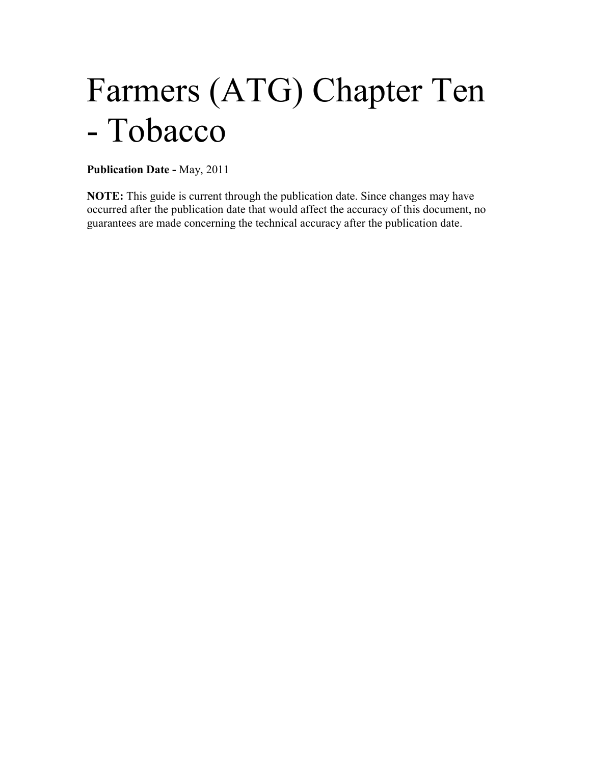# Farmers (ATG) Chapter Ten - Tobacco

**Publication Date -** May, 2011

**NOTE:** This guide is current through the publication date. Since changes may have occurred after the publication date that would affect the accuracy of this document, no guarantees are made concerning the technical accuracy after the publication date.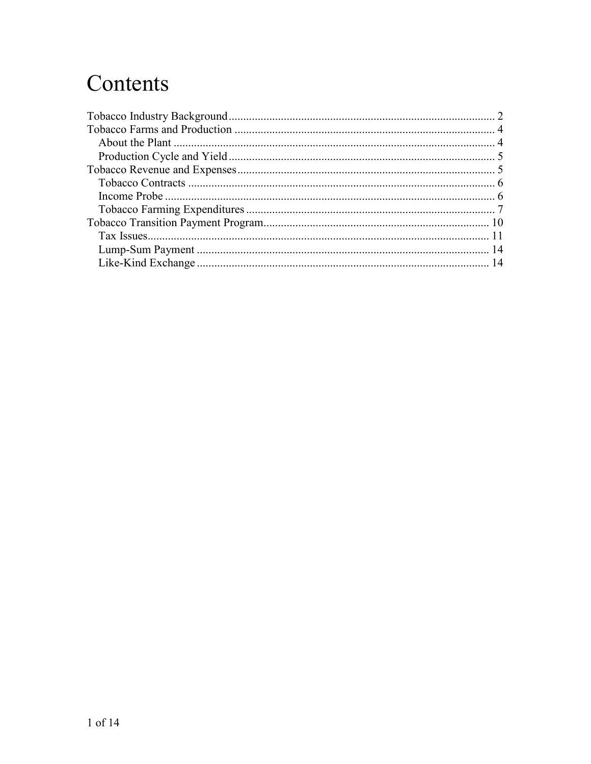## Contents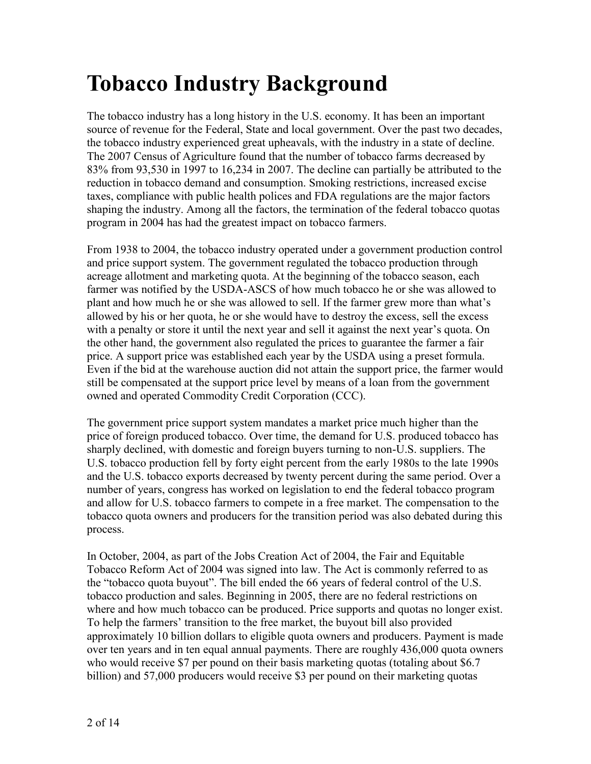## <span id="page-2-0"></span>**Tobacco Industry Background**

The tobacco industry has a long history in the U.S. economy. It has been an important source of revenue for the Federal, State and local government. Over the past two decades, the tobacco industry experienced great upheavals, with the industry in a state of decline. The 2007 Census of Agriculture found that the number of tobacco farms decreased by 83% from 93,530 in 1997 to 16,234 in 2007. The decline can partially be attributed to the reduction in tobacco demand and consumption. Smoking restrictions, increased excise taxes, compliance with public health polices and FDA regulations are the major factors shaping the industry. Among all the factors, the termination of the federal tobacco quotas program in 2004 has had the greatest impact on tobacco farmers.

From 1938 to 2004, the tobacco industry operated under a government production control and price support system. The government regulated the tobacco production through acreage allotment and marketing quota. At the beginning of the tobacco season, each farmer was notified by the USDA-ASCS of how much tobacco he or she was allowed to plant and how much he or she was allowed to sell. If the farmer grew more than what's allowed by his or her quota, he or she would have to destroy the excess, sell the excess with a penalty or store it until the next year and sell it against the next year's quota. On the other hand, the government also regulated the prices to guarantee the farmer a fair price. A support price was established each year by the USDA using a preset formula. Even if the bid at the warehouse auction did not attain the support price, the farmer would still be compensated at the support price level by means of a loan from the government owned and operated Commodity Credit Corporation (CCC).

The government price support system mandates a market price much higher than the price of foreign produced tobacco. Over time, the demand for U.S. produced tobacco has sharply declined, with domestic and foreign buyers turning to non-U.S. suppliers. The U.S. tobacco production fell by forty eight percent from the early 1980s to the late 1990s and the U.S. tobacco exports decreased by twenty percent during the same period. Over a number of years, congress has worked on legislation to end the federal tobacco program and allow for U.S. tobacco farmers to compete in a free market. The compensation to the tobacco quota owners and producers for the transition period was also debated during this process.

In October, 2004, as part of the Jobs Creation Act of 2004, the Fair and Equitable Tobacco Reform Act of 2004 was signed into law. The Act is commonly referred to as the "tobacco quota buyout". The bill ended the 66 years of federal control of the U.S. tobacco production and sales. Beginning in 2005, there are no federal restrictions on where and how much tobacco can be produced. Price supports and quotas no longer exist. To help the farmers' transition to the free market, the buyout bill also provided approximately 10 billion dollars to eligible quota owners and producers. Payment is made over ten years and in ten equal annual payments. There are roughly 436,000 quota owners who would receive \$7 per pound on their basis marketing quotas (totaling about \$6.7) billion) and 57,000 producers would receive \$3 per pound on their marketing quotas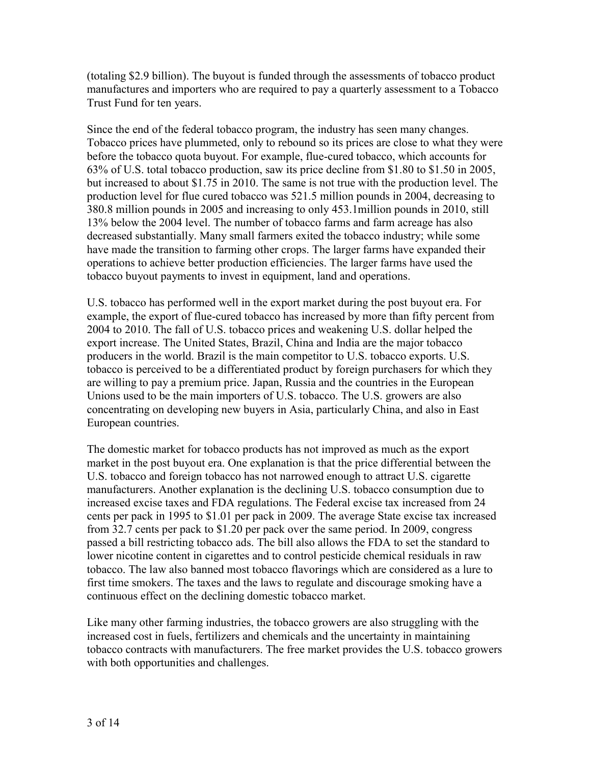(totaling \$2.9 billion). The buyout is funded through the assessments of tobacco product manufactures and importers who are required to pay a quarterly assessment to a Tobacco Trust Fund for ten years.

Since the end of the federal tobacco program, the industry has seen many changes. Tobacco prices have plummeted, only to rebound so its prices are close to what they were before the tobacco quota buyout. For example, flue-cured tobacco, which accounts for 63% of U.S. total tobacco production, saw its price decline from \$1.80 to \$1.50 in 2005, but increased to about \$1.75 in 2010. The same is not true with the production level. The production level for flue cured tobacco was 521.5 million pounds in 2004, decreasing to 380.8 million pounds in 2005 and increasing to only 453.1million pounds in 2010, still 13% below the 2004 level. The number of tobacco farms and farm acreage has also decreased substantially. Many small farmers exited the tobacco industry; while some have made the transition to farming other crops. The larger farms have expanded their operations to achieve better production efficiencies. The larger farms have used the tobacco buyout payments to invest in equipment, land and operations.

U.S. tobacco has performed well in the export market during the post buyout era. For example, the export of flue-cured tobacco has increased by more than fifty percent from 2004 to 2010. The fall of U.S. tobacco prices and weakening U.S. dollar helped the export increase. The United States, Brazil, China and India are the major tobacco producers in the world. Brazil is the main competitor to U.S. tobacco exports. U.S. tobacco is perceived to be a differentiated product by foreign purchasers for which they are willing to pay a premium price. Japan, Russia and the countries in the European Unions used to be the main importers of U.S. tobacco. The U.S. growers are also concentrating on developing new buyers in Asia, particularly China, and also in East European countries.

The domestic market for tobacco products has not improved as much as the export market in the post buyout era. One explanation is that the price differential between the U.S. tobacco and foreign tobacco has not narrowed enough to attract U.S. cigarette manufacturers. Another explanation is the declining U.S. tobacco consumption due to increased excise taxes and FDA regulations. The Federal excise tax increased from 24 cents per pack in 1995 to \$1.01 per pack in 2009. The average State excise tax increased from 32.7 cents per pack to \$1.20 per pack over the same period. In 2009, congress passed a bill restricting tobacco ads. The bill also allows the FDA to set the standard to lower nicotine content in cigarettes and to control pesticide chemical residuals in raw tobacco. The law also banned most tobacco flavorings which are considered as a lure to first time smokers. The taxes and the laws to regulate and discourage smoking have a continuous effect on the declining domestic tobacco market.

Like many other farming industries, the tobacco growers are also struggling with the increased cost in fuels, fertilizers and chemicals and the uncertainty in maintaining tobacco contracts with manufacturers. The free market provides the U.S. tobacco growers with both opportunities and challenges.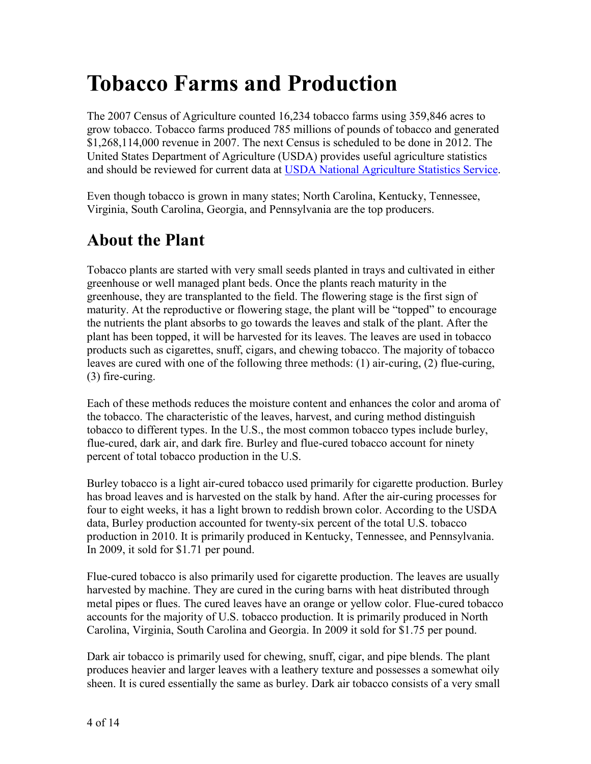## <span id="page-4-0"></span>**Tobacco Farms and Production**

The 2007 Census of Agriculture counted 16,234 tobacco farms using 359,846 acres to grow tobacco. Tobacco farms produced 785 millions of pounds of tobacco and generated \$1,268,114,000 revenue in 2007. The next Census is scheduled to be done in 2012. The United States Department of Agriculture (USDA) provides useful agriculture statistics and should be reviewed for current data at [USDA National Agriculture Statistics Service.](http://www.nass.usda.gov/)

Even though tobacco is grown in many states; North Carolina, Kentucky, Tennessee, Virginia, South Carolina, Georgia, and Pennsylvania are the top producers.

### <span id="page-4-1"></span>**About the Plant**

Tobacco plants are started with very small seeds planted in trays and cultivated in either greenhouse or well managed plant beds. Once the plants reach maturity in the greenhouse, they are transplanted to the field. The flowering stage is the first sign of maturity. At the reproductive or flowering stage, the plant will be "topped" to encourage the nutrients the plant absorbs to go towards the leaves and stalk of the plant. After the plant has been topped, it will be harvested for its leaves. The leaves are used in tobacco products such as cigarettes, snuff, cigars, and chewing tobacco. The majority of tobacco leaves are cured with one of the following three methods: (1) air-curing, (2) flue-curing, (3) fire-curing.

Each of these methods reduces the moisture content and enhances the color and aroma of the tobacco. The characteristic of the leaves, harvest, and curing method distinguish tobacco to different types. In the U.S., the most common tobacco types include burley, flue-cured, dark air, and dark fire. Burley and flue-cured tobacco account for ninety percent of total tobacco production in the U.S.

Burley tobacco is a light air-cured tobacco used primarily for cigarette production. Burley has broad leaves and is harvested on the stalk by hand. After the air-curing processes for four to eight weeks, it has a light brown to reddish brown color. According to the USDA data, Burley production accounted for twenty-six percent of the total U.S. tobacco production in 2010. It is primarily produced in Kentucky, Tennessee, and Pennsylvania. In 2009, it sold for \$1.71 per pound.

Flue-cured tobacco is also primarily used for cigarette production. The leaves are usually harvested by machine. They are cured in the curing barns with heat distributed through metal pipes or flues. The cured leaves have an orange or yellow color. Flue-cured tobacco accounts for the majority of U.S. tobacco production. It is primarily produced in North Carolina, Virginia, South Carolina and Georgia. In 2009 it sold for \$1.75 per pound.

Dark air tobacco is primarily used for chewing, snuff, cigar, and pipe blends. The plant produces heavier and larger leaves with a leathery texture and possesses a somewhat oily sheen. It is cured essentially the same as burley. Dark air tobacco consists of a very small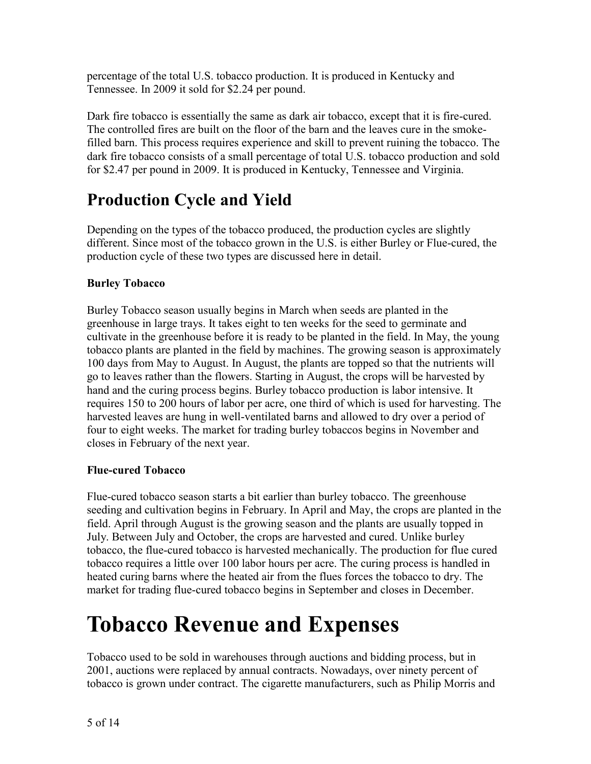percentage of the total U.S. tobacco production. It is produced in Kentucky and Tennessee. In 2009 it sold for \$2.24 per pound.

Dark fire tobacco is essentially the same as dark air tobacco, except that it is fire-cured. The controlled fires are built on the floor of the barn and the leaves cure in the smokefilled barn. This process requires experience and skill to prevent ruining the tobacco. The dark fire tobacco consists of a small percentage of total U.S. tobacco production and sold for \$2.47 per pound in 2009. It is produced in Kentucky, Tennessee and Virginia.

## <span id="page-5-0"></span>**Production Cycle and Yield**

Depending on the types of the tobacco produced, the production cycles are slightly different. Since most of the tobacco grown in the U.S. is either Burley or Flue-cured, the production cycle of these two types are discussed here in detail.

#### **Burley Tobacco**

Burley Tobacco season usually begins in March when seeds are planted in the greenhouse in large trays. It takes eight to ten weeks for the seed to germinate and cultivate in the greenhouse before it is ready to be planted in the field. In May, the young tobacco plants are planted in the field by machines. The growing season is approximately 100 days from May to August. In August, the plants are topped so that the nutrients will go to leaves rather than the flowers. Starting in August, the crops will be harvested by hand and the curing process begins. Burley tobacco production is labor intensive. It requires 150 to 200 hours of labor per acre, one third of which is used for harvesting. The harvested leaves are hung in well-ventilated barns and allowed to dry over a period of four to eight weeks. The market for trading burley tobaccos begins in November and closes in February of the next year.

#### **Flue-cured Tobacco**

Flue-cured tobacco season starts a bit earlier than burley tobacco. The greenhouse seeding and cultivation begins in February. In April and May, the crops are planted in the field. April through August is the growing season and the plants are usually topped in July. Between July and October, the crops are harvested and cured. Unlike burley tobacco, the flue-cured tobacco is harvested mechanically. The production for flue cured tobacco requires a little over 100 labor hours per acre. The curing process is handled in heated curing barns where the heated air from the flues forces the tobacco to dry. The market for trading flue-cured tobacco begins in September and closes in December.

## <span id="page-5-1"></span>**Tobacco Revenue and Expenses**

Tobacco used to be sold in warehouses through auctions and bidding process, but in 2001, auctions were replaced by annual contracts. Nowadays, over ninety percent of tobacco is grown under contract. The cigarette manufacturers, such as Philip Morris and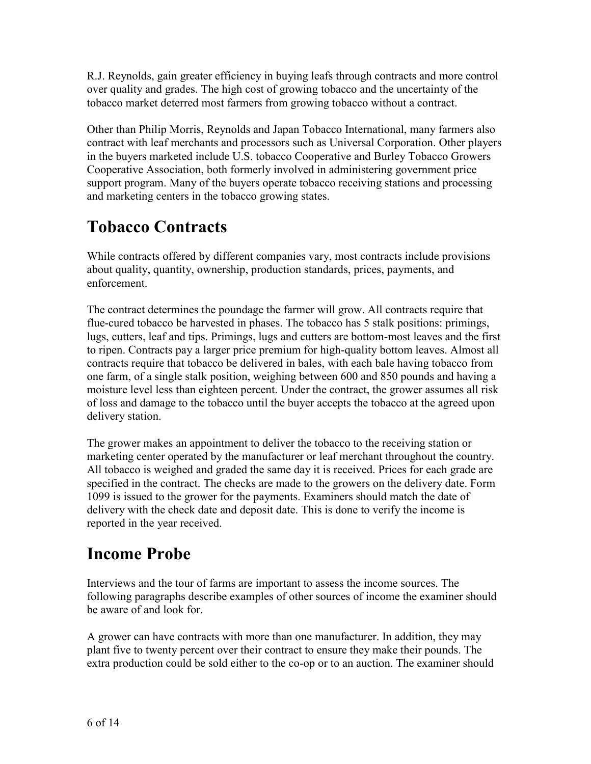R.J. Reynolds, gain greater efficiency in buying leafs through contracts and more control over quality and grades. The high cost of growing tobacco and the uncertainty of the tobacco market deterred most farmers from growing tobacco without a contract.

Other than Philip Morris, Reynolds and Japan Tobacco International, many farmers also contract with leaf merchants and processors such as Universal Corporation. Other players in the buyers marketed include U.S. tobacco Cooperative and Burley Tobacco Growers Cooperative Association, both formerly involved in administering government price support program. Many of the buyers operate tobacco receiving stations and processing and marketing centers in the tobacco growing states.

## <span id="page-6-0"></span>**Tobacco Contracts**

While contracts offered by different companies vary, most contracts include provisions about quality, quantity, ownership, production standards, prices, payments, and enforcement.

The contract determines the poundage the farmer will grow. All contracts require that flue-cured tobacco be harvested in phases. The tobacco has 5 stalk positions: primings, lugs, cutters, leaf and tips. Primings, lugs and cutters are bottom-most leaves and the first to ripen. Contracts pay a larger price premium for high-quality bottom leaves. Almost all contracts require that tobacco be delivered in bales, with each bale having tobacco from one farm, of a single stalk position, weighing between 600 and 850 pounds and having a moisture level less than eighteen percent. Under the contract, the grower assumes all risk of loss and damage to the tobacco until the buyer accepts the tobacco at the agreed upon delivery station.

The grower makes an appointment to deliver the tobacco to the receiving station or marketing center operated by the manufacturer or leaf merchant throughout the country. All tobacco is weighed and graded the same day it is received. Prices for each grade are specified in the contract. The checks are made to the growers on the delivery date. Form 1099 is issued to the grower for the payments. Examiners should match the date of delivery with the check date and deposit date. This is done to verify the income is reported in the year received.

### <span id="page-6-1"></span>**Income Probe**

Interviews and the tour of farms are important to assess the income sources. The following paragraphs describe examples of other sources of income the examiner should be aware of and look for.

A grower can have contracts with more than one manufacturer. In addition, they may plant five to twenty percent over their contract to ensure they make their pounds. The extra production could be sold either to the co-op or to an auction. The examiner should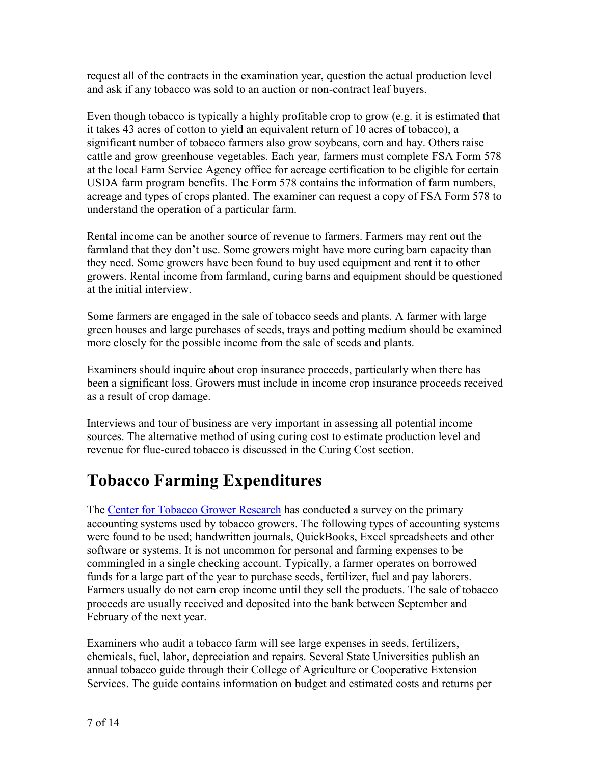request all of the contracts in the examination year, question the actual production level and ask if any tobacco was sold to an auction or non-contract leaf buyers.

Even though tobacco is typically a highly profitable crop to grow (e.g. it is estimated that it takes 43 acres of cotton to yield an equivalent return of 10 acres of tobacco), a significant number of tobacco farmers also grow soybeans, corn and hay. Others raise cattle and grow greenhouse vegetables. Each year, farmers must complete FSA Form 578 at the local Farm Service Agency office for acreage certification to be eligible for certain USDA farm program benefits. The Form 578 contains the information of farm numbers, acreage and types of crops planted. The examiner can request a copy of FSA Form 578 to understand the operation of a particular farm.

Rental income can be another source of revenue to farmers. Farmers may rent out the farmland that they don't use. Some growers might have more curing barn capacity than they need. Some growers have been found to buy used equipment and rent it to other growers. Rental income from farmland, curing barns and equipment should be questioned at the initial interview.

Some farmers are engaged in the sale of tobacco seeds and plants. A farmer with large green houses and large purchases of seeds, trays and potting medium should be examined more closely for the possible income from the sale of seeds and plants.

Examiners should inquire about crop insurance proceeds, particularly when there has been a significant loss. Growers must include in income crop insurance proceeds received as a result of crop damage.

Interviews and tour of business are very important in assessing all potential income sources. The alternative method of using curing cost to estimate production level and revenue for flue-cured tobacco is discussed in the Curing Cost section.

## <span id="page-7-0"></span>**Tobacco Farming Expenditures**

The [Center for Tobacco Grower Research](http://www.tobaccogrowerresearch.com/) has conducted a survey on the primary accounting systems used by tobacco growers. The following types of accounting systems were found to be used; handwritten journals, QuickBooks, Excel spreadsheets and other software or systems. It is not uncommon for personal and farming expenses to be commingled in a single checking account. Typically, a farmer operates on borrowed funds for a large part of the year to purchase seeds, fertilizer, fuel and pay laborers. Farmers usually do not earn crop income until they sell the products. The sale of tobacco proceeds are usually received and deposited into the bank between September and February of the next year.

Examiners who audit a tobacco farm will see large expenses in seeds, fertilizers, chemicals, fuel, labor, depreciation and repairs. Several State Universities publish an annual tobacco guide through their College of Agriculture or Cooperative Extension Services. The guide contains information on budget and estimated costs and returns per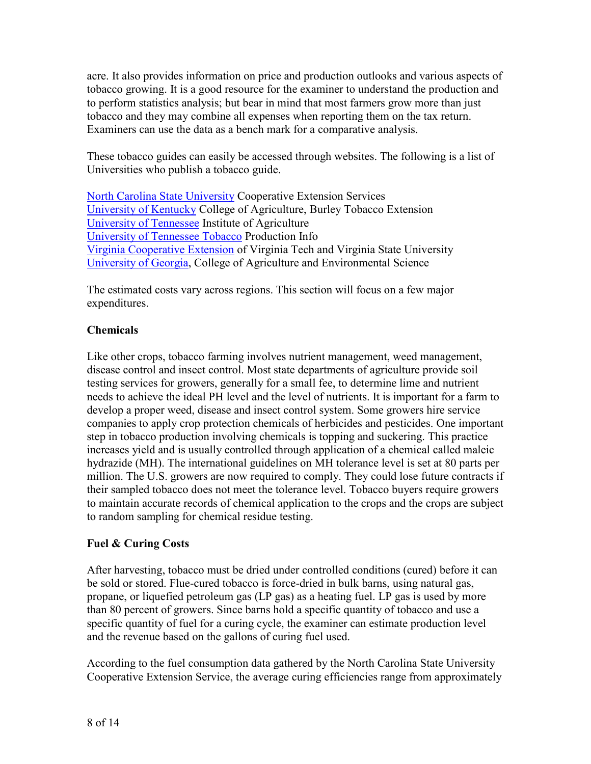acre. It also provides information on price and production outlooks and various aspects of tobacco growing. It is a good resource for the examiner to understand the production and to perform statistics analysis; but bear in mind that most farmers grow more than just tobacco and they may combine all expenses when reporting them on the tax return. Examiners can use the data as a bench mark for a comparative analysis.

These tobacco guides can easily be accessed through websites. The following is a list of Universities who publish a tobacco guide.

[North Carolina State University](http://www.ncsu.edu/project/tobaccoportal/) Cooperative Extension Services [University of Kentucky](http://www.uky.edu/Ag/Tobacco/) College of Agriculture, Burley Tobacco Extension [University of Tennessee](http://economics.ag.utk.edu/budgets.html) Institute of Agriculture [University of Tennessee Tobacco](http://tobaccoinfo.utk.edu/) Production Info [Virginia Cooperative Extension](http://pubs.ext.vt.edu/436/436-050-11/436-050.html) of Virginia Tech and Virginia State University [University of Georgia,](http://www.caes.uga.edu/commodities/fieldcrops/tobacco/guide/) College of Agriculture and Environmental Science

The estimated costs vary across regions. This section will focus on a few major expenditures.

#### **Chemicals**

Like other crops, tobacco farming involves nutrient management, weed management, disease control and insect control. Most state departments of agriculture provide soil testing services for growers, generally for a small fee, to determine lime and nutrient needs to achieve the ideal PH level and the level of nutrients. It is important for a farm to develop a proper weed, disease and insect control system. Some growers hire service companies to apply crop protection chemicals of herbicides and pesticides. One important step in tobacco production involving chemicals is topping and suckering. This practice increases yield and is usually controlled through application of a chemical called maleic hydrazide (MH). The international guidelines on MH tolerance level is set at 80 parts per million. The U.S. growers are now required to comply. They could lose future contracts if their sampled tobacco does not meet the tolerance level. Tobacco buyers require growers to maintain accurate records of chemical application to the crops and the crops are subject to random sampling for chemical residue testing.

#### **Fuel & Curing Costs**

After harvesting, tobacco must be dried under controlled conditions (cured) before it can be sold or stored. Flue-cured tobacco is force-dried in bulk barns, using natural gas, propane, or liquefied petroleum gas (LP gas) as a heating fuel. LP gas is used by more than 80 percent of growers. Since barns hold a specific quantity of tobacco and use a specific quantity of fuel for a curing cycle, the examiner can estimate production level and the revenue based on the gallons of curing fuel used.

According to the fuel consumption data gathered by the North Carolina State University Cooperative Extension Service, the average curing efficiencies range from approximately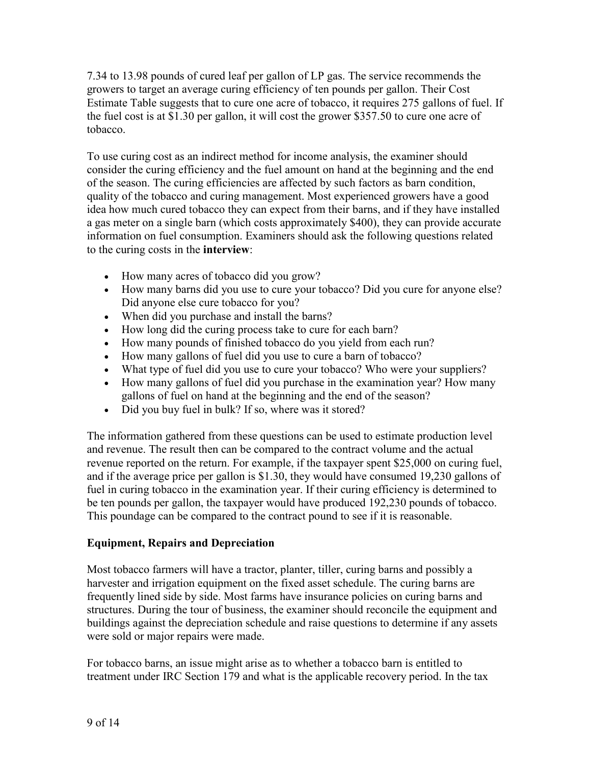7.34 to 13.98 pounds of cured leaf per gallon of LP gas. The service recommends the growers to target an average curing efficiency of ten pounds per gallon. Their Cost Estimate Table suggests that to cure one acre of tobacco, it requires 275 gallons of fuel. If the fuel cost is at \$1.30 per gallon, it will cost the grower \$357.50 to cure one acre of tobacco.

To use curing cost as an indirect method for income analysis, the examiner should consider the curing efficiency and the fuel amount on hand at the beginning and the end of the season. The curing efficiencies are affected by such factors as barn condition, quality of the tobacco and curing management. Most experienced growers have a good idea how much cured tobacco they can expect from their barns, and if they have installed a gas meter on a single barn (which costs approximately \$400), they can provide accurate information on fuel consumption. Examiners should ask the following questions related to the curing costs in the **interview**:

- How many acres of tobacco did you grow?
- How many barns did you use to cure your tobacco? Did you cure for anyone else? Did anyone else cure tobacco for you?
- When did you purchase and install the barns?
- How long did the curing process take to cure for each barn?
- How many pounds of finished tobacco do you yield from each run?
- How many gallons of fuel did you use to cure a barn of tobacco?
- What type of fuel did you use to cure your tobacco? Who were your suppliers?
- How many gallons of fuel did you purchase in the examination year? How many gallons of fuel on hand at the beginning and the end of the season?
- Did you buy fuel in bulk? If so, where was it stored?

The information gathered from these questions can be used to estimate production level and revenue. The result then can be compared to the contract volume and the actual revenue reported on the return. For example, if the taxpayer spent \$25,000 on curing fuel, and if the average price per gallon is \$1.30, they would have consumed 19,230 gallons of fuel in curing tobacco in the examination year. If their curing efficiency is determined to be ten pounds per gallon, the taxpayer would have produced 192,230 pounds of tobacco. This poundage can be compared to the contract pound to see if it is reasonable.

#### **Equipment, Repairs and Depreciation**

Most tobacco farmers will have a tractor, planter, tiller, curing barns and possibly a harvester and irrigation equipment on the fixed asset schedule. The curing barns are frequently lined side by side. Most farms have insurance policies on curing barns and structures. During the tour of business, the examiner should reconcile the equipment and buildings against the depreciation schedule and raise questions to determine if any assets were sold or major repairs were made.

For tobacco barns, an issue might arise as to whether a tobacco barn is entitled to treatment under IRC Section 179 and what is the applicable recovery period. In the tax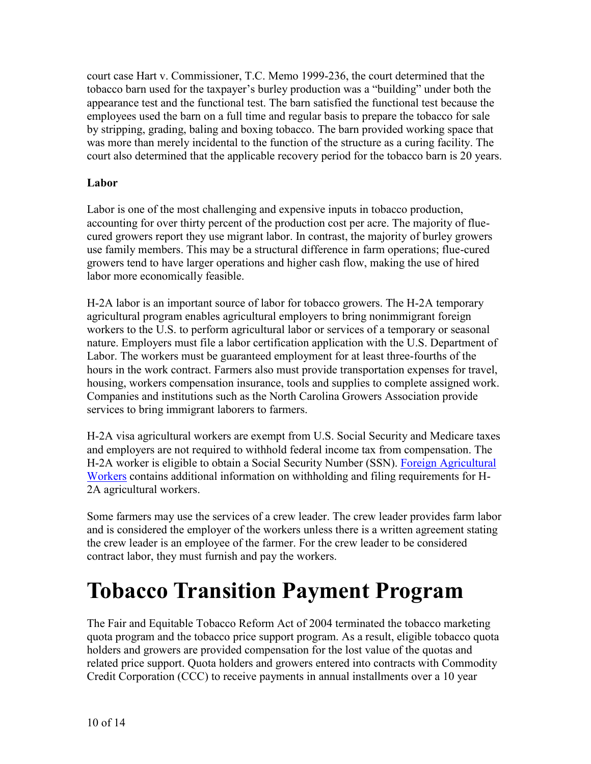court case Hart v. Commissioner, T.C. Memo 1999-236, the court determined that the tobacco barn used for the taxpayer's burley production was a "building" under both the appearance test and the functional test. The barn satisfied the functional test because the employees used the barn on a full time and regular basis to prepare the tobacco for sale by stripping, grading, baling and boxing tobacco. The barn provided working space that was more than merely incidental to the function of the structure as a curing facility. The court also determined that the applicable recovery period for the tobacco barn is 20 years.

#### **Labor**

Labor is one of the most challenging and expensive inputs in tobacco production, accounting for over thirty percent of the production cost per acre. The majority of fluecured growers report they use migrant labor. In contrast, the majority of burley growers use family members. This may be a structural difference in farm operations; flue-cured growers tend to have larger operations and higher cash flow, making the use of hired labor more economically feasible.

H-2A labor is an important source of labor for tobacco growers. The H-2A temporary agricultural program enables agricultural employers to bring nonimmigrant foreign workers to the U.S. to perform agricultural labor or services of a temporary or seasonal nature. Employers must file a labor certification application with the U.S. Department of Labor. The workers must be guaranteed employment for at least three-fourths of the hours in the work contract. Farmers also must provide transportation expenses for travel, housing, workers compensation insurance, tools and supplies to complete assigned work. Companies and institutions such as the North Carolina Growers Association provide services to bring immigrant laborers to farmers.

H-2A visa agricultural workers are exempt from U.S. Social Security and Medicare taxes and employers are not required to withhold federal income tax from compensation. The H-2A worker is eligible to obtain a Social Security Number (SSN). [Foreign Agricultural](http://www.irs.gov/businesses/small/international/article/0,,id=96422,00.html)  [Workers](http://www.irs.gov/businesses/small/international/article/0,,id=96422,00.html) contains additional information on withholding and filing requirements for H-2A agricultural workers.

Some farmers may use the services of a crew leader. The crew leader provides farm labor and is considered the employer of the workers unless there is a written agreement stating the crew leader is an employee of the farmer. For the crew leader to be considered contract labor, they must furnish and pay the workers.

## <span id="page-10-0"></span>**Tobacco Transition Payment Program**

The Fair and Equitable Tobacco Reform Act of 2004 terminated the tobacco marketing quota program and the tobacco price support program. As a result, eligible tobacco quota holders and growers are provided compensation for the lost value of the quotas and related price support. Quota holders and growers entered into contracts with Commodity Credit Corporation (CCC) to receive payments in annual installments over a 10 year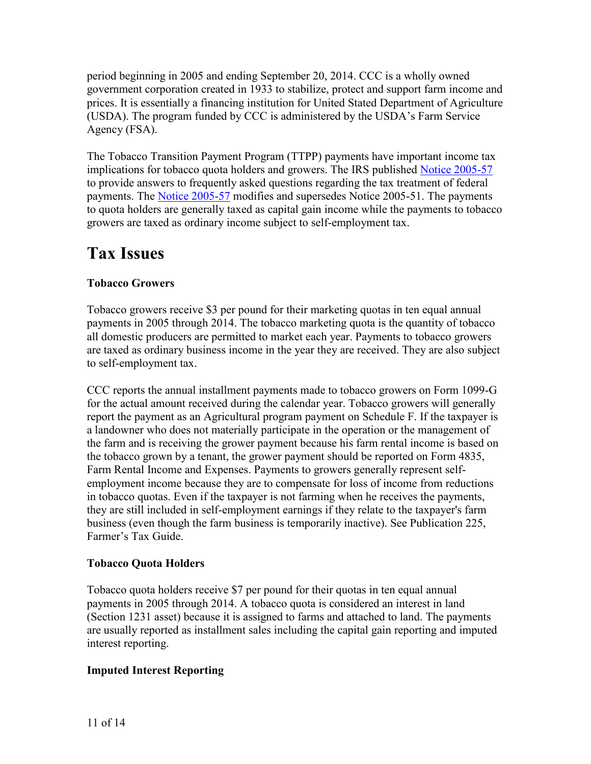period beginning in 2005 and ending September 20, 2014. CCC is a wholly owned government corporation created in 1933 to stabilize, protect and support farm income and prices. It is essentially a financing institution for United Stated Department of Agriculture (USDA). The program funded by CCC is administered by the USDA's Farm Service Agency (FSA).

The Tobacco Transition Payment Program (TTPP) payments have important income tax implications for tobacco quota holders and growers. The IRS published [Notice 2005-57](http://www.irs.gov/irb/2005-32_IRB/ar13.html) to provide answers to frequently asked questions regarding the tax treatment of federal payments. The [Notice 2005-57](http://www.irs.gov/irb/2005-32_IRB/ar13.html) modifies and supersedes Notice 2005-51. The payments to quota holders are generally taxed as capital gain income while the payments to tobacco growers are taxed as ordinary income subject to self-employment tax.

### <span id="page-11-0"></span>**Tax Issues**

#### **Tobacco Growers**

Tobacco growers receive \$3 per pound for their marketing quotas in ten equal annual payments in 2005 through 2014. The tobacco marketing quota is the quantity of tobacco all domestic producers are permitted to market each year. Payments to tobacco growers are taxed as ordinary business income in the year they are received. They are also subject to self-employment tax.

CCC reports the annual installment payments made to tobacco growers on Form 1099-G for the actual amount received during the calendar year. Tobacco growers will generally report the payment as an Agricultural program payment on Schedule F. If the taxpayer is a landowner who does not materially participate in the operation or the management of the farm and is receiving the grower payment because his farm rental income is based on the tobacco grown by a tenant, the grower payment should be reported on Form 4835, Farm Rental Income and Expenses. Payments to growers generally represent selfemployment income because they are to compensate for loss of income from reductions in tobacco quotas. Even if the taxpayer is not farming when he receives the payments, they are still included in self-employment earnings if they relate to the taxpayer's farm business (even though the farm business is temporarily inactive). See Publication 225, Farmer's Tax Guide.

#### **Tobacco Quota Holders**

Tobacco quota holders receive \$7 per pound for their quotas in ten equal annual payments in 2005 through 2014. A tobacco quota is considered an interest in land (Section 1231 asset) because it is assigned to farms and attached to land. The payments are usually reported as installment sales including the capital gain reporting and imputed interest reporting.

#### **Imputed Interest Reporting**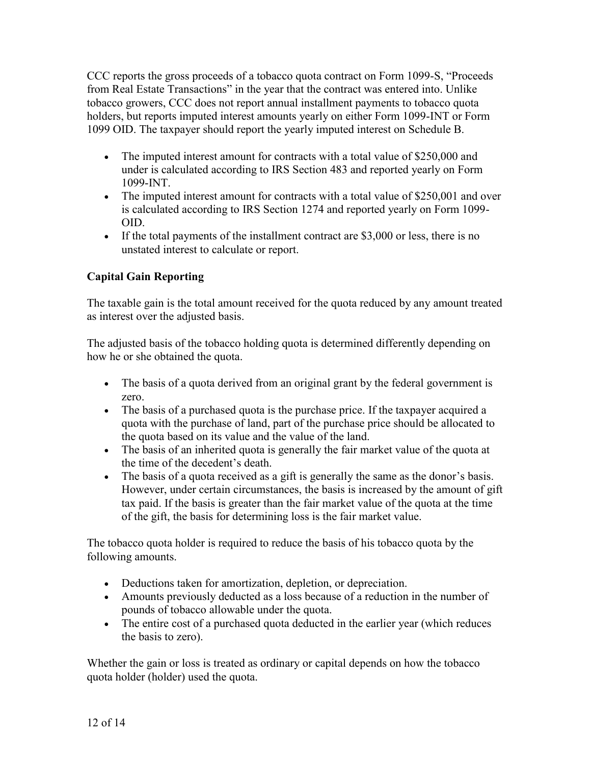CCC reports the gross proceeds of a tobacco quota contract on Form 1099-S, "Proceeds from Real Estate Transactions" in the year that the contract was entered into. Unlike tobacco growers, CCC does not report annual installment payments to tobacco quota holders, but reports imputed interest amounts yearly on either Form 1099-INT or Form 1099 OID. The taxpayer should report the yearly imputed interest on Schedule B.

- The imputed interest amount for contracts with a total value of \$250,000 and under is calculated according to IRS Section 483 and reported yearly on Form 1099-INT.
- The imputed interest amount for contracts with a total value of \$250,001 and over is calculated according to IRS Section 1274 and reported yearly on Form 1099- OID.
- If the total payments of the installment contract are  $$3,000$  or less, there is no unstated interest to calculate or report.

#### **Capital Gain Reporting**

The taxable gain is the total amount received for the quota reduced by any amount treated as interest over the adjusted basis.

The adjusted basis of the tobacco holding quota is determined differently depending on how he or she obtained the quota.

- The basis of a quota derived from an original grant by the federal government is zero.
- The basis of a purchased quota is the purchase price. If the taxpayer acquired a quota with the purchase of land, part of the purchase price should be allocated to the quota based on its value and the value of the land.
- The basis of an inherited quota is generally the fair market value of the quota at the time of the decedent's death.
- The basis of a quota received as a gift is generally the same as the donor's basis. However, under certain circumstances, the basis is increased by the amount of gift tax paid. If the basis is greater than the fair market value of the quota at the time of the gift, the basis for determining loss is the fair market value.

The tobacco quota holder is required to reduce the basis of his tobacco quota by the following amounts.

- Deductions taken for amortization, depletion, or depreciation.
- Amounts previously deducted as a loss because of a reduction in the number of pounds of tobacco allowable under the quota.
- The entire cost of a purchased quota deducted in the earlier year (which reduces the basis to zero).

Whether the gain or loss is treated as ordinary or capital depends on how the tobacco quota holder (holder) used the quota.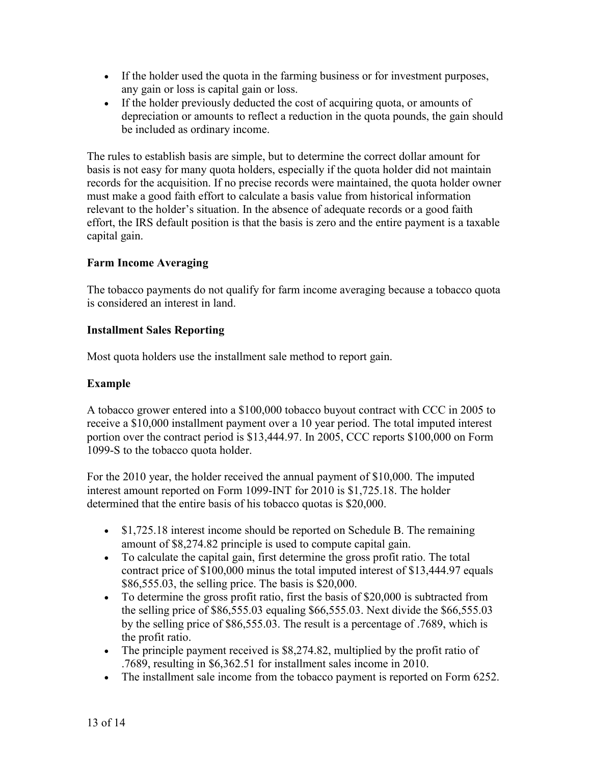- If the holder used the quota in the farming business or for investment purposes, any gain or loss is capital gain or loss.
- If the holder previously deducted the cost of acquiring quota, or amounts of depreciation or amounts to reflect a reduction in the quota pounds, the gain should be included as ordinary income.

The rules to establish basis are simple, but to determine the correct dollar amount for basis is not easy for many quota holders, especially if the quota holder did not maintain records for the acquisition. If no precise records were maintained, the quota holder owner must make a good faith effort to calculate a basis value from historical information relevant to the holder's situation. In the absence of adequate records or a good faith effort, the IRS default position is that the basis is zero and the entire payment is a taxable capital gain.

#### **Farm Income Averaging**

The tobacco payments do not qualify for farm income averaging because a tobacco quota is considered an interest in land.

#### **Installment Sales Reporting**

Most quota holders use the installment sale method to report gain.

#### **Example**

A tobacco grower entered into a \$100,000 tobacco buyout contract with CCC in 2005 to receive a \$10,000 installment payment over a 10 year period. The total imputed interest portion over the contract period is \$13,444.97. In 2005, CCC reports \$100,000 on Form 1099-S to the tobacco quota holder.

For the 2010 year, the holder received the annual payment of \$10,000. The imputed interest amount reported on Form 1099-INT for 2010 is \$1,725.18. The holder determined that the entire basis of his tobacco quotas is \$20,000.

- \$1,725.18 interest income should be reported on Schedule B. The remaining amount of \$8,274.82 principle is used to compute capital gain.
- To calculate the capital gain, first determine the gross profit ratio. The total contract price of \$100,000 minus the total imputed interest of \$13,444.97 equals \$86,555.03, the selling price. The basis is \$20,000.
- To determine the gross profit ratio, first the basis of \$20,000 is subtracted from the selling price of \$86,555.03 equaling \$66,555.03. Next divide the \$66,555.03 by the selling price of \$86,555.03. The result is a percentage of .7689, which is the profit ratio.
- The principle payment received is \$8,274.82, multiplied by the profit ratio of .7689, resulting in \$6,362.51 for installment sales income in 2010.
- The installment sale income from the tobacco payment is reported on Form 6252.